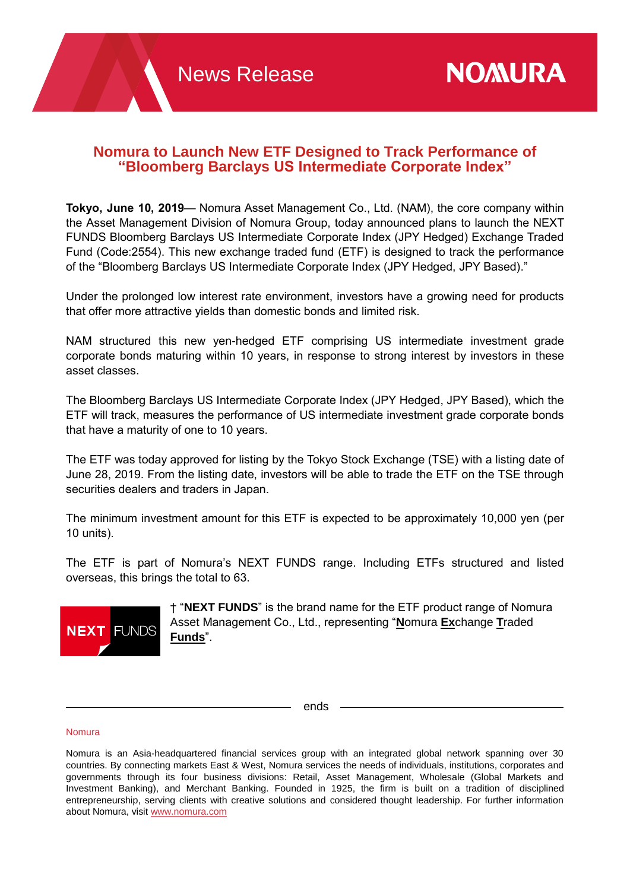# **Nomura to Launch New ETF Designed to Track Performance of "Bloomberg Barclays US Intermediate Corporate Index"**

**Tokyo, June 10, 2019**— Nomura Asset Management Co., Ltd. (NAM), the core company within the Asset Management Division of Nomura Group, today announced plans to launch the NEXT FUNDS Bloomberg Barclays US Intermediate Corporate Index (JPY Hedged) Exchange Traded Fund (Code:2554). This new exchange traded fund (ETF) is designed to track the performance of the "Bloomberg Barclays US Intermediate Corporate Index (JPY Hedged, JPY Based)."

Under the prolonged low interest rate environment, investors have a growing need for products that offer more attractive yields than domestic bonds and limited risk.

NAM structured this new yen-hedged ETF comprising US intermediate investment grade corporate bonds maturing within 10 years, in response to strong interest by investors in these asset classes.

The Bloomberg Barclays US Intermediate Corporate Index (JPY Hedged, JPY Based), which the ETF will track, measures the performance of US intermediate investment grade corporate bonds that have a maturity of one to 10 years.

The ETF was today approved for listing by the Tokyo Stock Exchange (TSE) with a listing date of June 28, 2019. From the listing date, investors will be able to trade the ETF on the TSE through securities dealers and traders in Japan.

The minimum investment amount for this ETF is expected to be approximately 10,000 yen (per 10 units).

The ETF is part of Nomura's NEXT FUNDS range. Including ETFs structured and listed overseas, this brings the total to 63.



† "**NEXT FUNDS**" is the brand name for the ETF product range of Nomura Asset Management Co., Ltd., representing "**N**omura **Ex**change **T**raded **Funds**".

ends

#### Nomura

Nomura is an Asia-headquartered financial services group with an integrated global network spanning over 30 countries. By connecting markets East & West, Nomura services the needs of individuals, institutions, corporates and governments through its four business divisions: Retail, Asset Management, Wholesale (Global Markets and Investment Banking), and Merchant Banking. Founded in 1925, the firm is built on a tradition of disciplined entrepreneurship, serving clients with creative solutions and considered thought leadership. For further information about Nomura, visit [www.nomura.com](http://www.nomura.com/)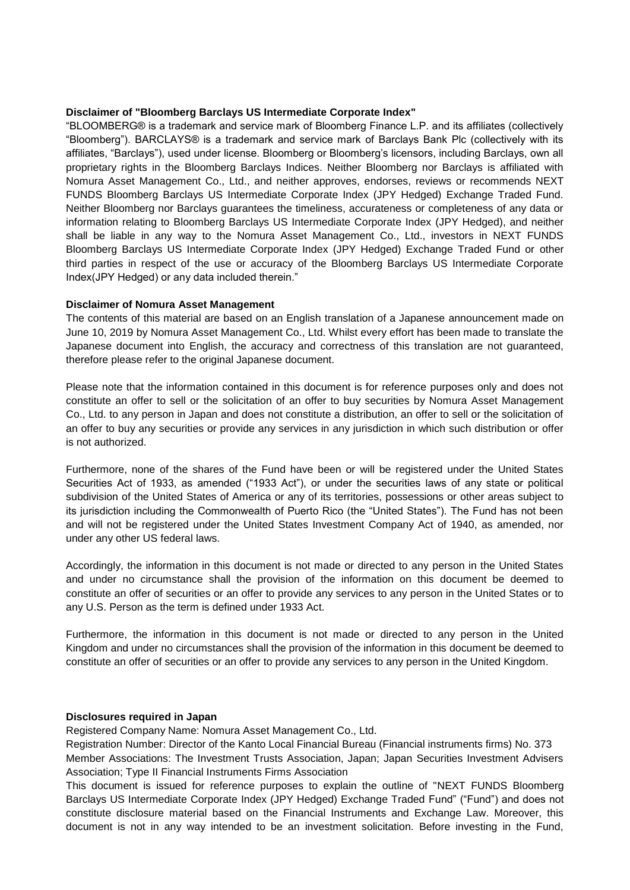#### **Disclaimer of "Bloomberg Barclays US Intermediate Corporate Index"**

"BLOOMBERG® is a trademark and service mark of Bloomberg Finance L.P. and its affiliates (collectively "Bloomberg"). BARCLAYS® is a trademark and service mark of Barclays Bank Plc (collectively with its affiliates, "Barclays"), used under license. Bloomberg or Bloomberg's licensors, including Barclays, own all proprietary rights in the Bloomberg Barclays Indices. Neither Bloomberg nor Barclays is affiliated with Nomura Asset Management Co., Ltd., and neither approves, endorses, reviews or recommends NEXT FUNDS Bloomberg Barclays US Intermediate Corporate Index (JPY Hedged) Exchange Traded Fund. Neither Bloomberg nor Barclays guarantees the timeliness, accurateness or completeness of any data or information relating to Bloomberg Barclays US Intermediate Corporate Index (JPY Hedged), and neither shall be liable in any way to the Nomura Asset Management Co., Ltd., investors in NEXT FUNDS Bloomberg Barclays US Intermediate Corporate Index (JPY Hedged) Exchange Traded Fund or other third parties in respect of the use or accuracy of the Bloomberg Barclays US Intermediate Corporate Index(JPY Hedged) or any data included therein."

## **Disclaimer of Nomura Asset Management**

The contents of this material are based on an English translation of a Japanese announcement made on June 10, 2019 by Nomura Asset Management Co., Ltd. Whilst every effort has been made to translate the Japanese document into English, the accuracy and correctness of this translation are not guaranteed, therefore please refer to the original Japanese document.

Please note that the information contained in this document is for reference purposes only and does not constitute an offer to sell or the solicitation of an offer to buy securities by Nomura Asset Management Co., Ltd. to any person in Japan and does not constitute a distribution, an offer to sell or the solicitation of an offer to buy any securities or provide any services in any jurisdiction in which such distribution or offer is not authorized.

Furthermore, none of the shares of the Fund have been or will be registered under the United States Securities Act of 1933, as amended ("1933 Act"), or under the securities laws of any state or political subdivision of the United States of America or any of its territories, possessions or other areas subject to its jurisdiction including the Commonwealth of Puerto Rico (the "United States"). The Fund has not been and will not be registered under the United States Investment Company Act of 1940, as amended, nor under any other US federal laws.

Accordingly, the information in this document is not made or directed to any person in the United States and under no circumstance shall the provision of the information on this document be deemed to constitute an offer of securities or an offer to provide any services to any person in the United States or to any U.S. Person as the term is defined under 1933 Act.

Furthermore, the information in this document is not made or directed to any person in the United Kingdom and under no circumstances shall the provision of the information in this document be deemed to constitute an offer of securities or an offer to provide any services to any person in the United Kingdom.

# **Disclosures required in Japan**

Registered Company Name: Nomura Asset Management Co., Ltd.

Registration Number: Director of the Kanto Local Financial Bureau (Financial instruments firms) No. 373 Member Associations: The Investment Trusts Association, Japan; Japan Securities Investment Advisers Association; Type II Financial Instruments Firms Association

This document is issued for reference purposes to explain the outline of "NEXT FUNDS Bloomberg Barclays US Intermediate Corporate Index (JPY Hedged) Exchange Traded Fund" ("Fund") and does not constitute disclosure material based on the Financial Instruments and Exchange Law. Moreover, this document is not in any way intended to be an investment solicitation. Before investing in the Fund,